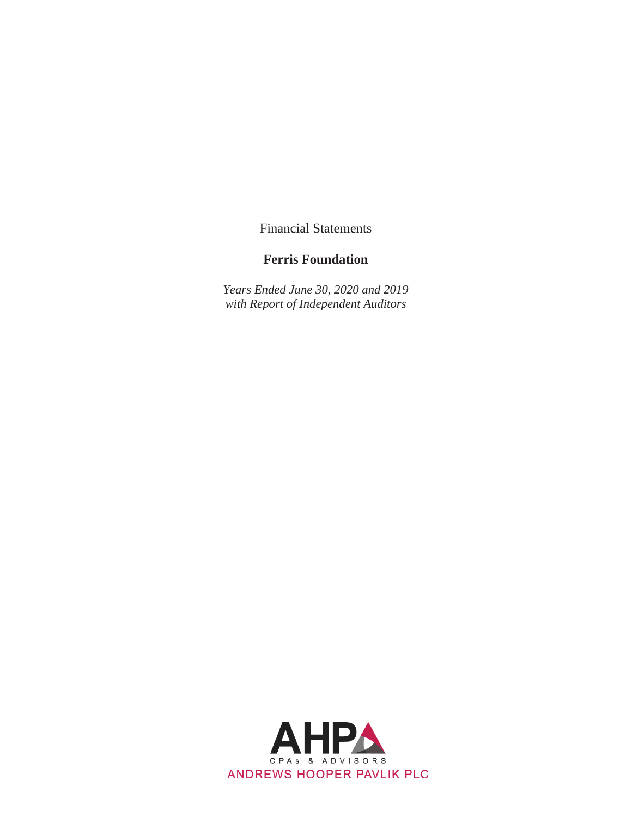Financial Statements

# **Ferris Foundation**

*Years Ended June 30, 2020 and 2019 with Report of Independent Auditors* 

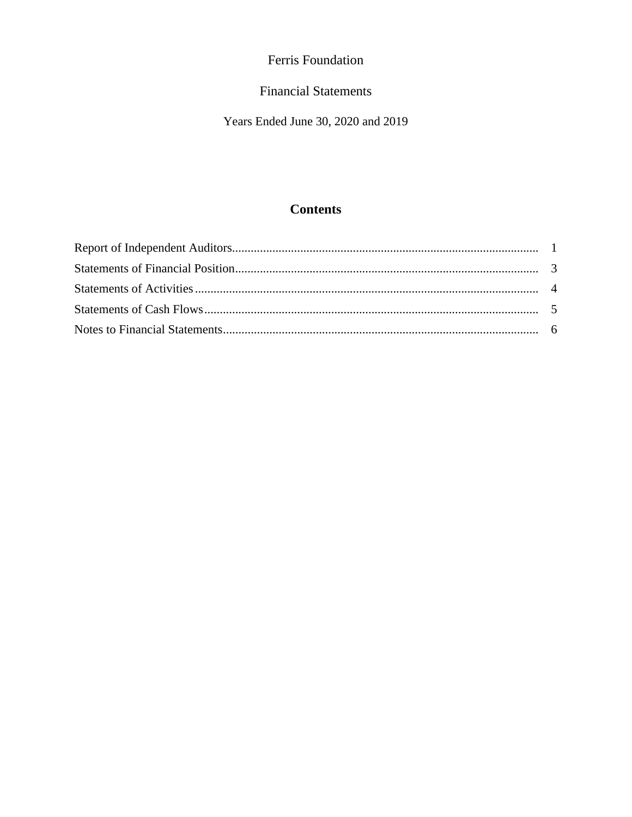# **Financial Statements**

Years Ended June 30, 2020 and 2019

# **Contents**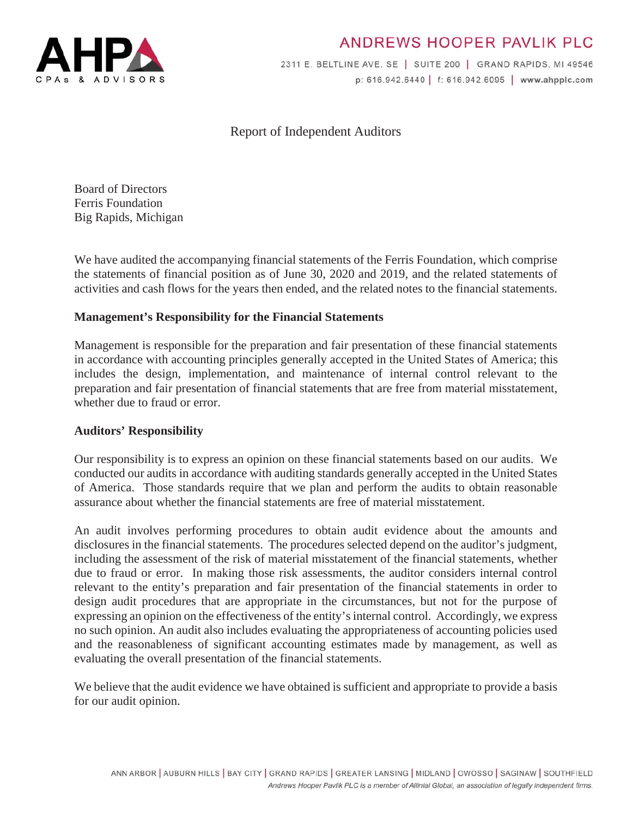

# ANDREWS HOOPER PAVLIK PLC

2311 E. BELTLINE AVE. SE | SUITE 200 | GRAND RAPIDS, MI 49546 p: 616.942.6440 | f: 616.942.6095 | www.ahpplc.com

# Report of Independent Auditors

Board of Directors Ferris Foundation Big Rapids, Michigan

We have audited the accompanying financial statements of the Ferris Foundation, which comprise the statements of financial position as of June 30, 2020 and 2019, and the related statements of activities and cash flows for the years then ended, and the related notes to the financial statements.

# **Management's Responsibility for the Financial Statements**

Management is responsible for the preparation and fair presentation of these financial statements in accordance with accounting principles generally accepted in the United States of America; this includes the design, implementation, and maintenance of internal control relevant to the preparation and fair presentation of financial statements that are free from material misstatement, whether due to fraud or error.

### **Auditors' Responsibility**

Our responsibility is to express an opinion on these financial statements based on our audits. We conducted our audits in accordance with auditing standards generally accepted in the United States of America. Those standards require that we plan and perform the audits to obtain reasonable assurance about whether the financial statements are free of material misstatement.

 disclosures in the financial statements. The procedures selected depend on the auditor's judgment, An audit involves performing procedures to obtain audit evidence about the amounts and including the assessment of the risk of material misstatement of the financial statements, whether due to fraud or error. In making those risk assessments, the auditor considers internal control relevant to the entity's preparation and fair presentation of the financial statements in order to design audit procedures that are appropriate in the circumstances, but not for the purpose of expressing an opinion on the effectiveness of the entity's internal control. Accordingly, we express no such opinion. An audit also includes evaluating the appropriateness of accounting policies used and the reasonableness of significant accounting estimates made by management, as well as evaluating the overall presentation of the financial statements.

We believe that the audit evidence we have obtained is sufficient and appropriate to provide a basis for our audit opinion.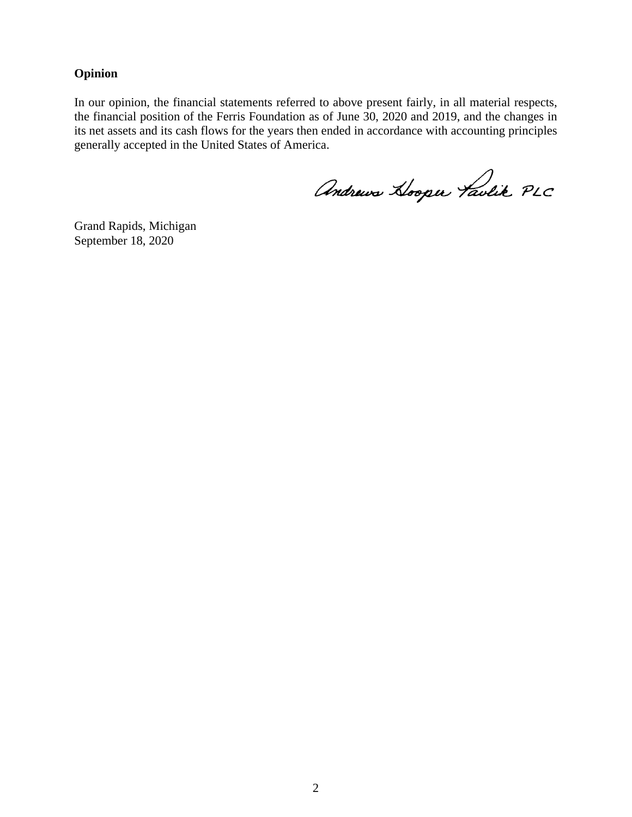# **Opinion**

In our opinion, the financial statements referred to above present fairly, in all material respects, the financial position of the Ferris Foundation as of June 30, 2020 and 2019, and the changes in its net assets and its cash flows for the years then ended in accordance with accounting principles generally accepted in the United States of America.

Andrews Hooper Taulik PLC

Grand Rapids, Michigan September 18, 2020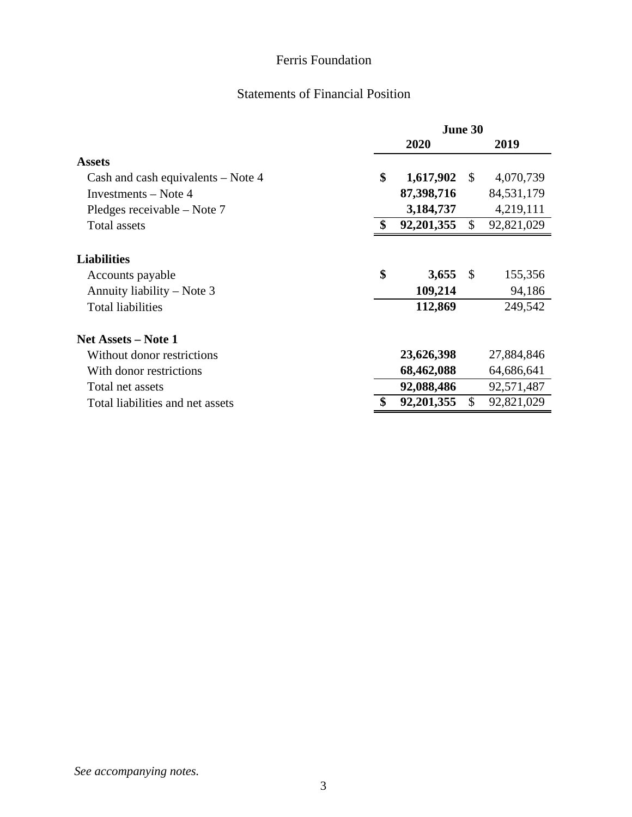# Statements of Financial Position

|                                    | June 30       |            |              |            |
|------------------------------------|---------------|------------|--------------|------------|
|                                    |               | 2020       |              | 2019       |
| <b>Assets</b>                      |               |            |              |            |
| Cash and cash equivalents – Note 4 | \$            | 1,617,902  | $\mathbb{S}$ | 4,070,739  |
| Investments – Note 4               |               | 87,398,716 |              | 84,531,179 |
| Pledges receivable – Note 7        |               | 3,184,737  |              | 4,219,111  |
| Total assets                       | <sup>\$</sup> | 92,201,355 | \$           | 92,821,029 |
|                                    |               |            |              |            |
| <b>Liabilities</b>                 |               |            |              |            |
| Accounts payable                   | \$            | 3,655      | -\$          | 155,356    |
| Annuity liability – Note 3         |               | 109,214    |              | 94,186     |
| <b>Total liabilities</b>           |               | 112,869    |              | 249,542    |
| <b>Net Assets – Note 1</b>         |               |            |              |            |
| Without donor restrictions         |               | 23,626,398 |              | 27,884,846 |
| With donor restrictions            |               | 68,462,088 |              | 64,686,641 |
| Total net assets                   |               | 92,088,486 |              | 92,571,487 |
| Total liabilities and net assets   | \$            | 92,201,355 | \$           | 92,821,029 |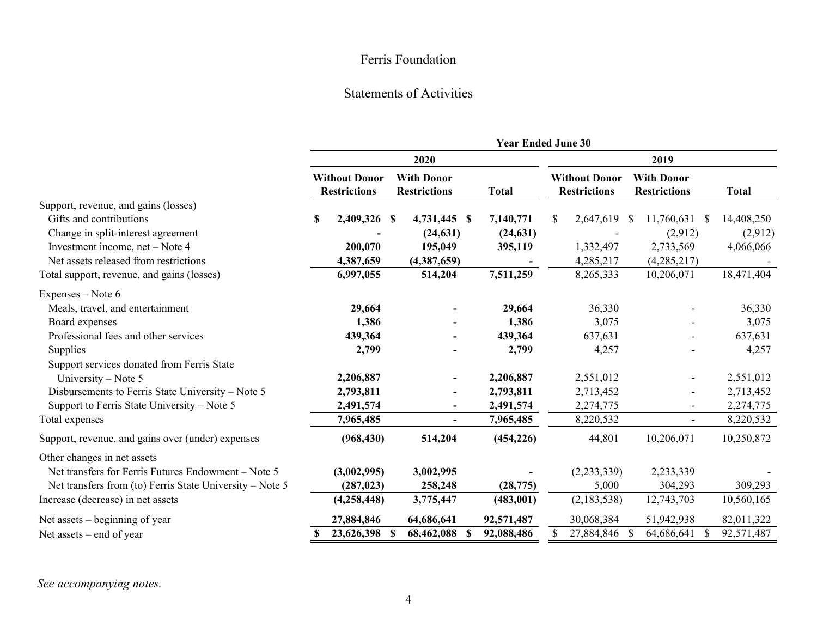# Statements of Activities

|                                                          | <b>Year Ended June 30</b>                   |                                          |              |                                             |                                          |              |
|----------------------------------------------------------|---------------------------------------------|------------------------------------------|--------------|---------------------------------------------|------------------------------------------|--------------|
|                                                          |                                             | 2020                                     |              |                                             | 2019                                     |              |
|                                                          | <b>Without Donor</b><br><b>Restrictions</b> | <b>With Donor</b><br><b>Restrictions</b> | <b>Total</b> | <b>Without Donor</b><br><b>Restrictions</b> | <b>With Donor</b><br><b>Restrictions</b> | <b>Total</b> |
| Support, revenue, and gains (losses)                     |                                             |                                          |              |                                             |                                          |              |
| Gifts and contributions                                  | 2,409,326 \$<br>\$                          | 4,731,445 \$                             | 7,140,771    | 2,647,619 \$<br>\$                          | $11,760,631$ \$                          | 14,408,250   |
| Change in split-interest agreement                       |                                             | (24, 631)                                | (24, 631)    |                                             | (2,912)                                  | (2,912)      |
| Investment income, net – Note 4                          | 200,070                                     | 195,049                                  | 395,119      | 1,332,497                                   | 2,733,569                                | 4,066,066    |
| Net assets released from restrictions                    | 4,387,659                                   | (4,387,659)                              |              | 4,285,217                                   | (4,285,217)                              |              |
| Total support, revenue, and gains (losses)               | 6,997,055                                   | 514,204                                  | 7,511,259    | 8,265,333                                   | 10,206,071                               | 18,471,404   |
| Expenses – Note 6                                        |                                             |                                          |              |                                             |                                          |              |
| Meals, travel, and entertainment                         | 29,664                                      |                                          | 29,664       | 36,330                                      |                                          | 36,330       |
| Board expenses                                           | 1,386                                       |                                          | 1,386        | 3,075                                       |                                          | 3,075        |
| Professional fees and other services                     | 439,364                                     |                                          | 439,364      | 637,631                                     |                                          | 637,631      |
| Supplies                                                 | 2,799                                       |                                          | 2,799        | 4,257                                       |                                          | 4,257        |
| Support services donated from Ferris State               |                                             |                                          |              |                                             |                                          |              |
| University - Note 5                                      | 2,206,887                                   |                                          | 2,206,887    | 2,551,012                                   |                                          | 2,551,012    |
| Disbursements to Ferris State University - Note 5        | 2,793,811                                   |                                          | 2,793,811    | 2,713,452                                   |                                          | 2,713,452    |
| Support to Ferris State University – Note 5              | 2,491,574                                   | $\blacksquare$                           | 2,491,574    | 2,274,775                                   | $\overline{\phantom{a}}$                 | 2,274,775    |
| Total expenses                                           | 7,965,485                                   | $\blacksquare$                           | 7,965,485    | 8,220,532                                   |                                          | 8,220,532    |
| Support, revenue, and gains over (under) expenses        | (968, 430)                                  | 514,204                                  | (454, 226)   | 44,801                                      | 10,206,071                               | 10,250,872   |
| Other changes in net assets                              |                                             |                                          |              |                                             |                                          |              |
| Net transfers for Ferris Futures Endowment - Note 5      | (3,002,995)                                 | 3,002,995                                |              | (2,233,339)                                 | 2,233,339                                |              |
| Net transfers from (to) Ferris State University – Note 5 | (287, 023)                                  | 258,248                                  | (28, 775)    | 5,000                                       | 304,293                                  | 309,293      |
| Increase (decrease) in net assets                        | (4,258,448)                                 | 3,775,447                                | (483,001)    | (2,183,538)                                 | 12,743,703                               | 10,560,165   |
| Net assets $-$ beginning of year                         | 27,884,846                                  | 64,686,641                               | 92,571,487   | 30,068,384                                  | 51,942,938                               | 82,011,322   |
| Net assets – end of year                                 | 23,626,398                                  | 68,462,088 \$<br>-S                      | 92,088,486   | 27,884,846                                  | 64,686,641<br>\$                         | 92,571,487   |

*See accompanying notes.*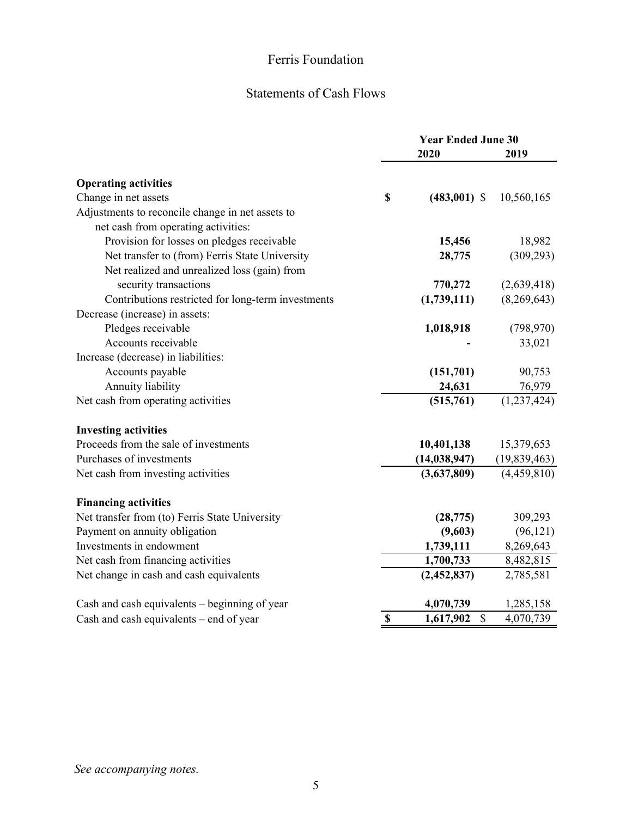# Statements of Cash Flows

|                                                    | <b>Year Ended June 30</b> |                 |               |
|----------------------------------------------------|---------------------------|-----------------|---------------|
|                                                    |                           | 2020            | 2019          |
| <b>Operating activities</b>                        |                           |                 |               |
| Change in net assets                               | \$                        | $(483,001)$ \$  | 10,560,165    |
| Adjustments to reconcile change in net assets to   |                           |                 |               |
| net cash from operating activities:                |                           |                 |               |
| Provision for losses on pledges receivable         |                           | 15,456          | 18,982        |
| Net transfer to (from) Ferris State University     |                           | 28,775          | (309, 293)    |
| Net realized and unrealized loss (gain) from       |                           |                 |               |
| security transactions                              |                           | 770,272         | (2,639,418)   |
| Contributions restricted for long-term investments |                           | (1,739,111)     | (8,269,643)   |
| Decrease (increase) in assets:                     |                           |                 |               |
| Pledges receivable                                 |                           | 1,018,918       | (798, 970)    |
| Accounts receivable                                |                           |                 | 33,021        |
| Increase (decrease) in liabilities:                |                           |                 |               |
| Accounts payable                                   |                           | (151,701)       | 90,753        |
| Annuity liability                                  |                           | 24,631          | 76,979        |
| Net cash from operating activities                 |                           | (515,761)       | (1, 237, 424) |
| <b>Investing activities</b>                        |                           |                 |               |
| Proceeds from the sale of investments              |                           | 10,401,138      | 15,379,653    |
| Purchases of investments                           |                           | (14, 038, 947)  | (19,839,463)  |
| Net cash from investing activities                 |                           | (3,637,809)     | (4,459,810)   |
| <b>Financing activities</b>                        |                           |                 |               |
| Net transfer from (to) Ferris State University     |                           | (28, 775)       | 309,293       |
| Payment on annuity obligation                      |                           | (9,603)         | (96, 121)     |
| Investments in endowment                           |                           | 1,739,111       | 8,269,643     |
| Net cash from financing activities                 |                           | 1,700,733       | 8,482,815     |
| Net change in cash and cash equivalents            |                           | (2,452,837)     | 2,785,581     |
| Cash and cash equivalents – beginning of year      |                           | 4,070,739       | 1,285,158     |
| Cash and cash equivalents – end of year            | $\boldsymbol{\mathsf{S}}$ | 1,617,902<br>\$ | 4,070,739     |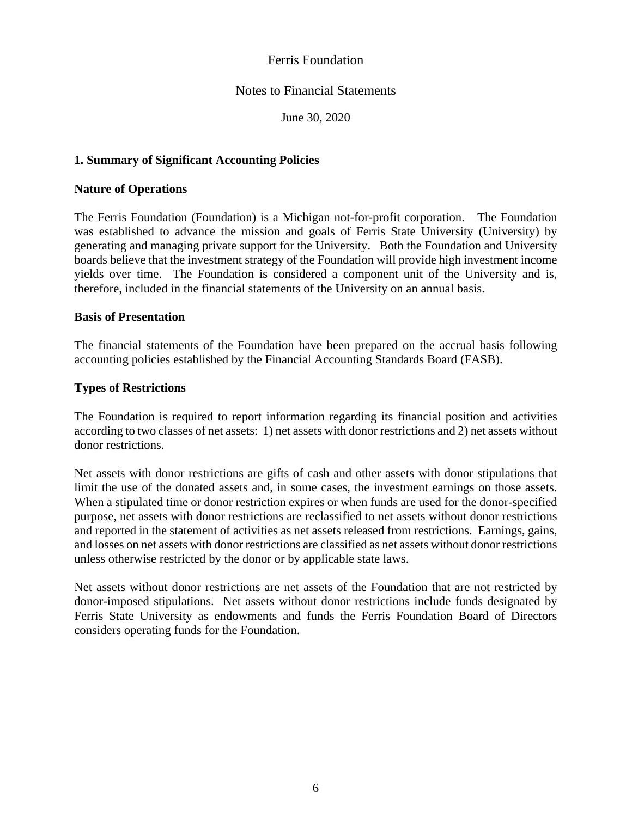# Notes to Financial Statements

June 30, 2020

# **1. Summary of Significant Accounting Policies**

### **Nature of Operations**

The Ferris Foundation (Foundation) is a Michigan not-for-profit corporation. The Foundation was established to advance the mission and goals of Ferris State University (University) by generating and managing private support for the University. Both the Foundation and University boards believe that the investment strategy of the Foundation will provide high investment income yields over time. The Foundation is considered a component unit of the University and is, therefore, included in the financial statements of the University on an annual basis.

### **Basis of Presentation**

The financial statements of the Foundation have been prepared on the accrual basis following accounting policies established by the Financial Accounting Standards Board (FASB).

### **Types of Restrictions**

The Foundation is required to report information regarding its financial position and activities according to two classes of net assets: 1) net assets with donor restrictions and 2) net assets without donor restrictions.

Net assets with donor restrictions are gifts of cash and other assets with donor stipulations that limit the use of the donated assets and, in some cases, the investment earnings on those assets. When a stipulated time or donor restriction expires or when funds are used for the donor-specified purpose, net assets with donor restrictions are reclassified to net assets without donor restrictions and reported in the statement of activities as net assets released from restrictions. Earnings, gains, and losses on net assets with donor restrictions are classified as net assets without donor restrictions unless otherwise restricted by the donor or by applicable state laws.

Net assets without donor restrictions are net assets of the Foundation that are not restricted by donor-imposed stipulations. Net assets without donor restrictions include funds designated by Ferris State University as endowments and funds the Ferris Foundation Board of Directors considers operating funds for the Foundation.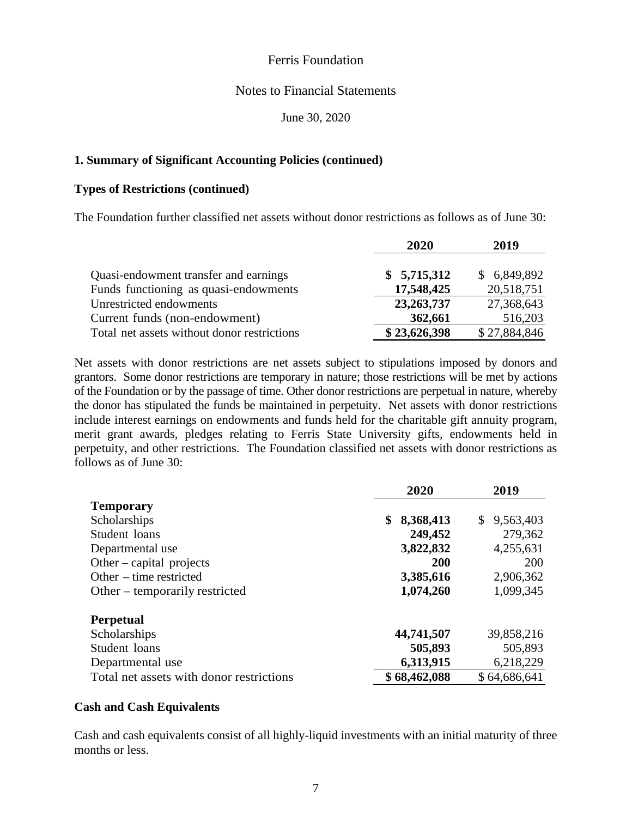# Notes to Financial Statements

June 30, 2020

### **1. Summary of Significant Accounting Policies (continued)**

#### **Types of Restrictions (continued)**

The Foundation further classified net assets without donor restrictions as follows as of June 30:

|                                             | 2020         | 2019         |
|---------------------------------------------|--------------|--------------|
| Quasi-endowment transfer and earnings       | \$5,715,312  | \$6,849,892  |
| Funds functioning as quasi-endowments       | 17,548,425   | 20,518,751   |
| Unrestricted endowments                     | 23, 263, 737 | 27,368,643   |
| Current funds (non-endowment)               | 362,661      | 516,203      |
| Total net assets without donor restrictions | \$23,626,398 | \$27,884,846 |

Net assets with donor restrictions are net assets subject to stipulations imposed by donors and grantors. Some donor restrictions are temporary in nature; those restrictions will be met by actions of the Foundation or by the passage of time. Other donor restrictions are perpetual in nature, whereby the donor has stipulated the funds be maintained in perpetuity. Net assets with donor restrictions include interest earnings on endowments and funds held for the charitable gift annuity program, merit grant awards, pledges relating to Ferris State University gifts, endowments held in perpetuity, and other restrictions. The Foundation classified net assets with donor restrictions as follows as of June 30:

|                                          | 2020            | 2019                      |
|------------------------------------------|-----------------|---------------------------|
| <b>Temporary</b>                         |                 |                           |
| Scholarships                             | 8,368,413<br>\$ | 9,563,403<br>$\mathbb{S}$ |
| Student loans                            | 249,452         | 279,362                   |
| Departmental use                         | 3,822,832       | 4,255,631                 |
| Other – capital projects                 | 200             | 200                       |
| Other $-$ time restricted                | 3,385,616       | 2,906,362                 |
| Other – temporarily restricted           | 1,074,260       | 1,099,345                 |
| <b>Perpetual</b>                         |                 |                           |
| Scholarships                             | 44,741,507      | 39,858,216                |
| Student loans                            | 505,893         | 505,893                   |
| Departmental use                         | 6,313,915       | 6,218,229                 |
| Total net assets with donor restrictions | \$68,462,088    | \$64,686,641              |

#### **Cash and Cash Equivalents**

Cash and cash equivalents consist of all highly-liquid investments with an initial maturity of three months or less.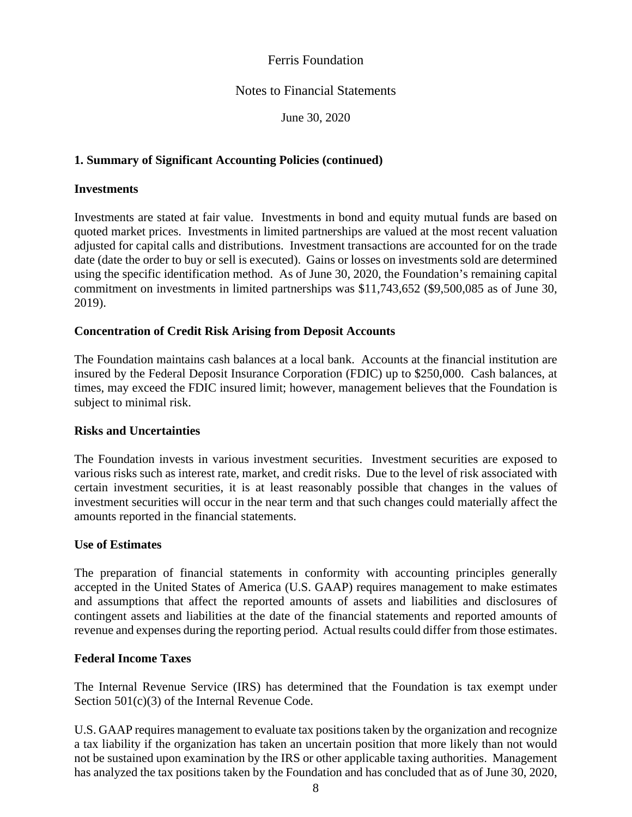# Notes to Financial Statements

June 30, 2020

# **1. Summary of Significant Accounting Policies (continued)**

### **Investments**

Investments are stated at fair value. Investments in bond and equity mutual funds are based on quoted market prices. Investments in limited partnerships are valued at the most recent valuation adjusted for capital calls and distributions. Investment transactions are accounted for on the trade date (date the order to buy or sell is executed). Gains or losses on investments sold are determined using the specific identification method. As of June 30, 2020, the Foundation's remaining capital commitment on investments in limited partnerships was \$11,743,652 (\$9,500,085 as of June 30, 2019).

### **Concentration of Credit Risk Arising from Deposit Accounts**

The Foundation maintains cash balances at a local bank. Accounts at the financial institution are insured by the Federal Deposit Insurance Corporation (FDIC) up to \$250,000. Cash balances, at times, may exceed the FDIC insured limit; however, management believes that the Foundation is subject to minimal risk.

### **Risks and Uncertainties**

The Foundation invests in various investment securities. Investment securities are exposed to various risks such as interest rate, market, and credit risks. Due to the level of risk associated with certain investment securities, it is at least reasonably possible that changes in the values of investment securities will occur in the near term and that such changes could materially affect the amounts reported in the financial statements.

### **Use of Estimates**

The preparation of financial statements in conformity with accounting principles generally accepted in the United States of America (U.S. GAAP) requires management to make estimates and assumptions that affect the reported amounts of assets and liabilities and disclosures of contingent assets and liabilities at the date of the financial statements and reported amounts of revenue and expenses during the reporting period. Actual results could differ from those estimates.

### **Federal Income Taxes**

The Internal Revenue Service (IRS) has determined that the Foundation is tax exempt under Section 501(c)(3) of the Internal Revenue Code.

U.S. GAAP requires management to evaluate tax positions taken by the organization and recognize a tax liability if the organization has taken an uncertain position that more likely than not would not be sustained upon examination by the IRS or other applicable taxing authorities. Management has analyzed the tax positions taken by the Foundation and has concluded that as of June 30, 2020,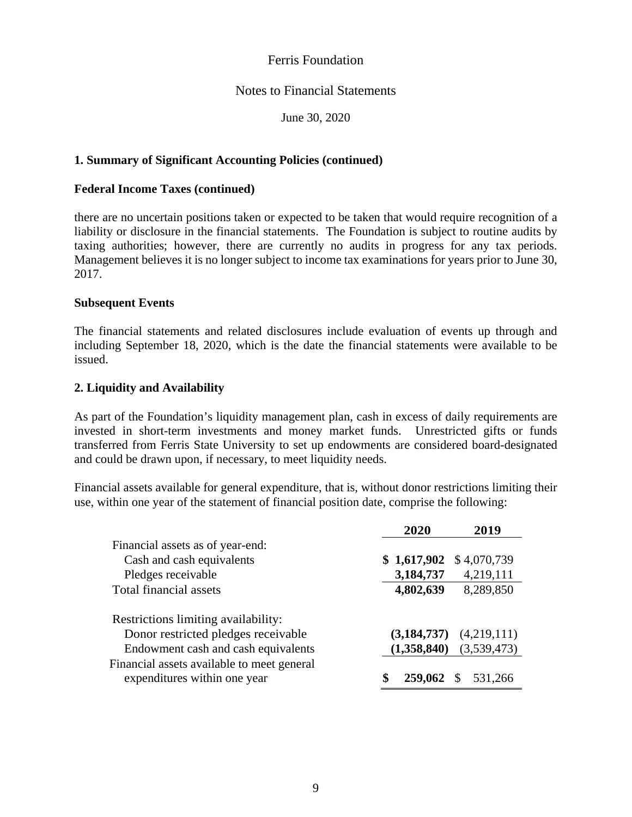# Notes to Financial Statements

June 30, 2020

# **1. Summary of Significant Accounting Policies (continued)**

### **Federal Income Taxes (continued)**

there are no uncertain positions taken or expected to be taken that would require recognition of a liability or disclosure in the financial statements. The Foundation is subject to routine audits by taxing authorities; however, there are currently no audits in progress for any tax periods. Management believes it is no longer subject to income tax examinations for years prior to June 30, 2017.

### **Subsequent Events**

The financial statements and related disclosures include evaluation of events up through and including September 18, 2020, which is the date the financial statements were available to be issued.

### **2. Liquidity and Availability**

As part of the Foundation's liquidity management plan, cash in excess of daily requirements are invested in short-term investments and money market funds. Unrestricted gifts or funds transferred from Ferris State University to set up endowments are considered board-designated and could be drawn upon, if necessary, to meet liquidity needs.

Financial assets available for general expenditure, that is, without donor restrictions limiting their use, within one year of the statement of financial position date, comprise the following:

|                                            | 2019<br>2020                  |
|--------------------------------------------|-------------------------------|
| Financial assets as of year-end:           |                               |
| Cash and cash equivalents                  | \$1,617,902<br>\$4,070,739    |
| Pledges receivable                         | 4,219,111<br>3,184,737        |
| <b>Total financial assets</b>              | 4,802,639<br>8,289,850        |
| Restrictions limiting availability:        |                               |
| Donor restricted pledges receivable        | (3, 184, 737)<br>(4,219,111)  |
| Endowment cash and cash equivalents        | (3,539,473)<br>(1,358,840)    |
| Financial assets available to meet general |                               |
| expenditures within one year               | \$<br>259,062<br>S<br>531,266 |
|                                            |                               |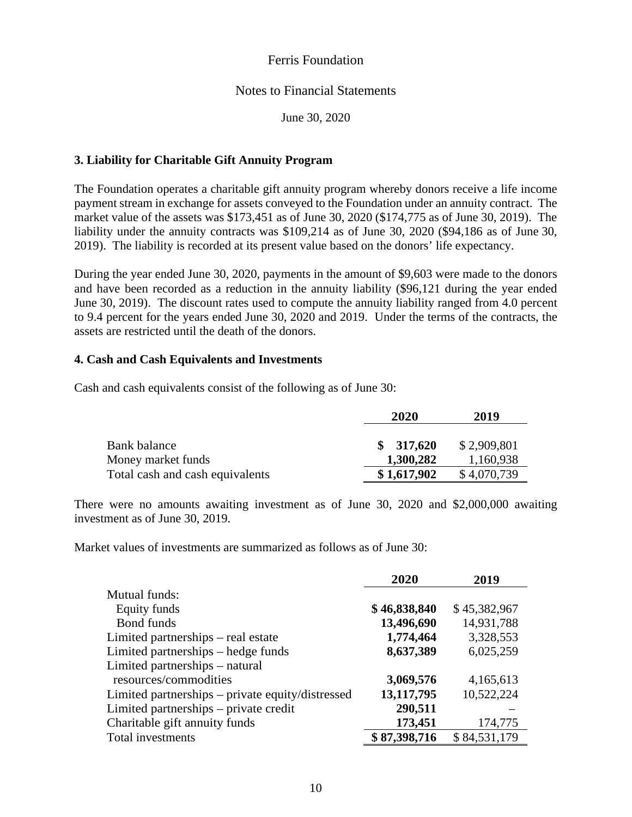### Notes to Financial Statements

June 30, 2020

### **3. Liability for Charitable Gift Annuity Program**

The Foundation operates a charitable gift annuity program whereby donors receive a life income payment stream in exchange for assets conveyed to the Foundation under an annuity contract. The market value of the assets was \$173,451 as of June 30, 2020 (\$174,775 as of June 30, 2019). The liability under the annuity contracts was \$109,214 as of June 30, 2020 (\$94,186 as of June 30, 2019). The liability is recorded at its present value based on the donors' life expectancy.

During the year ended June 30, 2020, payments in the amount of \$9,603 were made to the donors and have been recorded as a reduction in the annuity liability (\$96,121 during the year ended June 30, 2019). The discount rates used to compute the annuity liability ranged from 4.0 percent to 9.4 percent for the years ended June 30, 2020 and 2019. Under the terms of the contracts, the assets are restricted until the death of the donors.

### **4. Cash and Cash Equivalents and Investments**

Cash and cash equivalents consist of the following as of June 30:

|                                 | 2020        | 2019        |
|---------------------------------|-------------|-------------|
| Bank balance                    | \$317,620   | \$2,909,801 |
| Money market funds              | 1,300,282   | 1,160,938   |
| Total cash and cash equivalents | \$1,617,902 | \$4,070,739 |

There were no amounts awaiting investment as of June 30, 2020 and \$2,000,000 awaiting investment as of June 30, 2019.

Market values of investments are summarized as follows as of June 30:

|                                                  | 2020         | 2019         |
|--------------------------------------------------|--------------|--------------|
| Mutual funds:                                    |              |              |
| Equity funds                                     | \$46,838,840 | \$45,382,967 |
| <b>Bond</b> funds                                | 13,496,690   | 14,931,788   |
| Limited partnerships – real estate               | 1,774,464    | 3,328,553    |
| Limited partnerships – hedge funds               | 8,637,389    | 6,025,259    |
| Limited partnerships – natural                   |              |              |
| resources/commodities                            | 3,069,576    | 4,165,613    |
| Limited partnerships – private equity/distressed | 13, 117, 795 | 10,522,224   |
| Limited partnerships – private credit            | 290,511      |              |
| Charitable gift annuity funds                    | 173,451      | 174,775      |
| Total investments                                | \$87,398,716 | \$84,531,179 |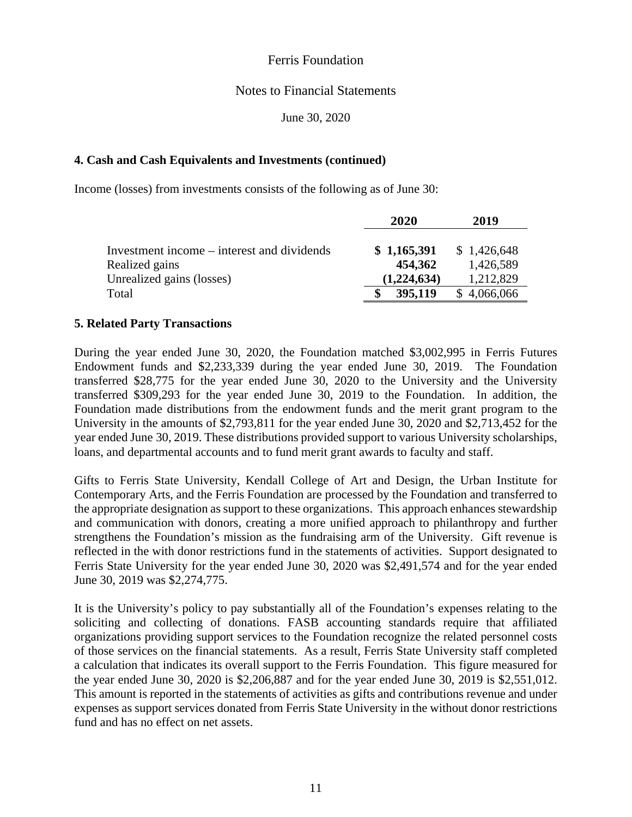### Notes to Financial Statements

June 30, 2020

### **4. Cash and Cash Equivalents and Investments (continued)**

Income (losses) from investments consists of the following as of June 30:

|                                            | 2020        | 2019        |
|--------------------------------------------|-------------|-------------|
| Investment income – interest and dividends | \$1,165,391 | \$1,426,648 |
| Realized gains                             | 454,362     | 1,426,589   |
| Unrealized gains (losses)                  | (1,224,634) | 1,212,829   |
| Total                                      | 395,119     | 4,066,066   |

### **5. Related Party Transactions**

During the year ended June 30, 2020, the Foundation matched \$3,002,995 in Ferris Futures Endowment funds and \$2,233,339 during the year ended June 30, 2019. The Foundation transferred \$28,775 for the year ended June 30, 2020 to the University and the University transferred \$309,293 for the year ended June 30, 2019 to the Foundation. In addition, the Foundation made distributions from the endowment funds and the merit grant program to the University in the amounts of \$2,793,811 for the year ended June 30, 2020 and \$2,713,452 for the year ended June 30, 2019. These distributions provided support to various University scholarships, loans, and departmental accounts and to fund merit grant awards to faculty and staff.

Gifts to Ferris State University, Kendall College of Art and Design, the Urban Institute for Contemporary Arts, and the Ferris Foundation are processed by the Foundation and transferred to the appropriate designation as support to these organizations. This approach enhances stewardship and communication with donors, creating a more unified approach to philanthropy and further strengthens the Foundation's mission as the fundraising arm of the University. Gift revenue is reflected in the with donor restrictions fund in the statements of activities. Support designated to Ferris State University for the year ended June 30, 2020 was \$2,491,574 and for the year ended June 30, 2019 was \$2,274,775.

It is the University's policy to pay substantially all of the Foundation's expenses relating to the soliciting and collecting of donations. FASB accounting standards require that affiliated organizations providing support services to the Foundation recognize the related personnel costs of those services on the financial statements. As a result, Ferris State University staff completed a calculation that indicates its overall support to the Ferris Foundation. This figure measured for the year ended June 30, 2020 is \$2,206,887 and for the year ended June 30, 2019 is \$2,551,012. This amount is reported in the statements of activities as gifts and contributions revenue and under expenses as support services donated from Ferris State University in the without donor restrictions fund and has no effect on net assets.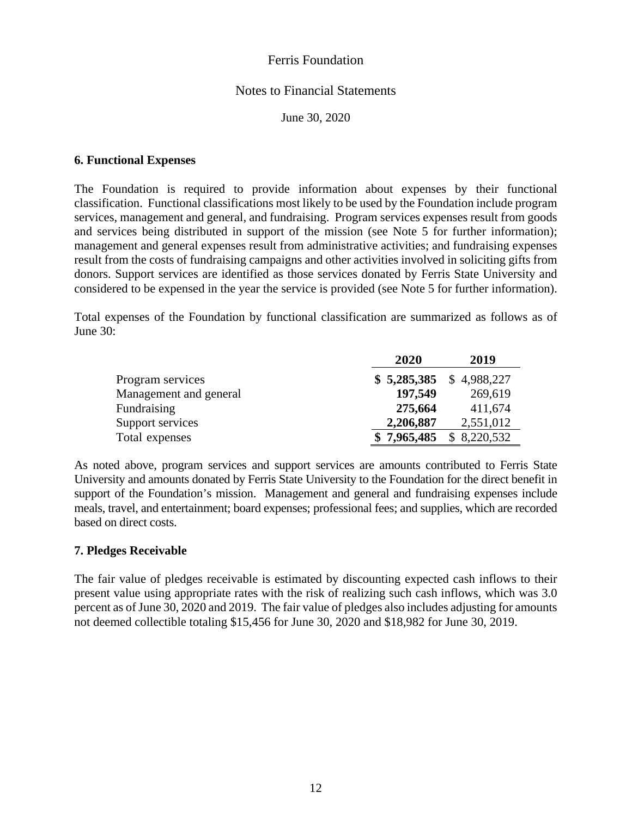# Notes to Financial Statements

June 30, 2020

### **6. Functional Expenses**

The Foundation is required to provide information about expenses by their functional classification. Functional classifications most likely to be used by the Foundation include program services, management and general, and fundraising. Program services expenses result from goods and services being distributed in support of the mission (see Note 5 for further information); management and general expenses result from administrative activities; and fundraising expenses result from the costs of fundraising campaigns and other activities involved in soliciting gifts from donors. Support services are identified as those services donated by Ferris State University and considered to be expensed in the year the service is provided (see Note 5 for further information).

Total expenses of the Foundation by functional classification are summarized as follows as of June 30:

|                        | 2020        | 2019        |
|------------------------|-------------|-------------|
| Program services       | \$5,285,385 | \$4,988,227 |
| Management and general | 197,549     | 269,619     |
| Fundraising            | 275,664     | 411,674     |
| Support services       | 2,206,887   | 2,551,012   |
| Total expenses         | \$7,965,485 | \$8,220,532 |

As noted above, program services and support services are amounts contributed to Ferris State University and amounts donated by Ferris State University to the Foundation for the direct benefit in support of the Foundation's mission. Management and general and fundraising expenses include meals, travel, and entertainment; board expenses; professional fees; and supplies, which are recorded based on direct costs.

### **7. Pledges Receivable**

The fair value of pledges receivable is estimated by discounting expected cash inflows to their present value using appropriate rates with the risk of realizing such cash inflows, which was 3.0 percent as of June 30, 2020 and 2019. The fair value of pledges also includes adjusting for amounts not deemed collectible totaling \$15,456 for June 30, 2020 and \$18,982 for June 30, 2019.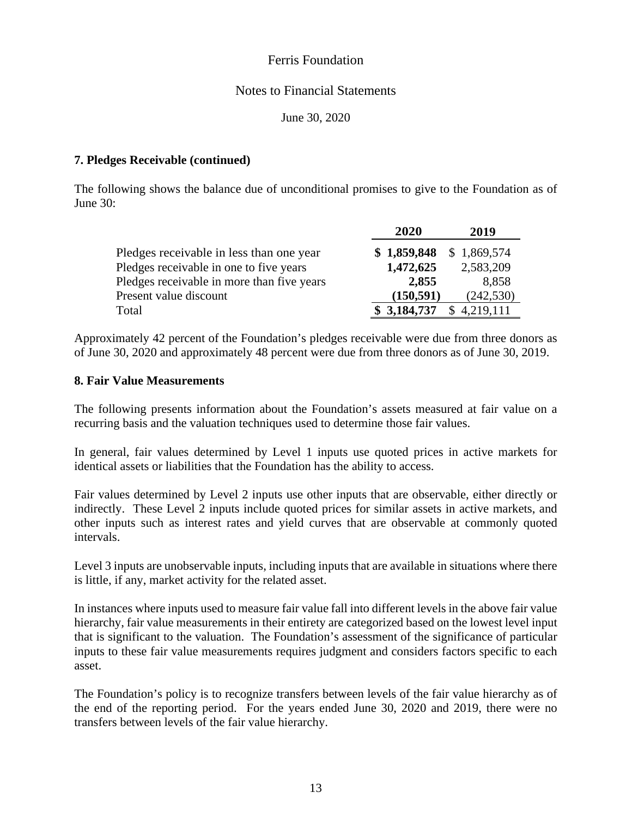### Notes to Financial Statements

June 30, 2020

# **7. Pledges Receivable (continued)**

The following shows the balance due of unconditional promises to give to the Foundation as of June 30:

|                                            | 2020        | 2019        |
|--------------------------------------------|-------------|-------------|
| Pledges receivable in less than one year   | \$1,859,848 | \$1,869,574 |
| Pledges receivable in one to five years    | 1,472,625   | 2,583,209   |
| Pledges receivable in more than five years | 2,855       | 8,858       |
| Present value discount                     | (150, 591)  | (242, 530)  |
| Total                                      | \$3,184,737 | \$4,219,111 |

Approximately 42 percent of the Foundation's pledges receivable were due from three donors as of June 30, 2020 and approximately 48 percent were due from three donors as of June 30, 2019.

### **8. Fair Value Measurements**

The following presents information about the Foundation's assets measured at fair value on a recurring basis and the valuation techniques used to determine those fair values.

In general, fair values determined by Level 1 inputs use quoted prices in active markets for identical assets or liabilities that the Foundation has the ability to access.

Fair values determined by Level 2 inputs use other inputs that are observable, either directly or indirectly. These Level 2 inputs include quoted prices for similar assets in active markets, and other inputs such as interest rates and yield curves that are observable at commonly quoted intervals.

Level 3 inputs are unobservable inputs, including inputs that are available in situations where there is little, if any, market activity for the related asset.

In instances where inputs used to measure fair value fall into different levels in the above fair value hierarchy, fair value measurements in their entirety are categorized based on the lowest level input that is significant to the valuation. The Foundation's assessment of the significance of particular inputs to these fair value measurements requires judgment and considers factors specific to each asset.

The Foundation's policy is to recognize transfers between levels of the fair value hierarchy as of the end of the reporting period. For the years ended June 30, 2020 and 2019, there were no transfers between levels of the fair value hierarchy.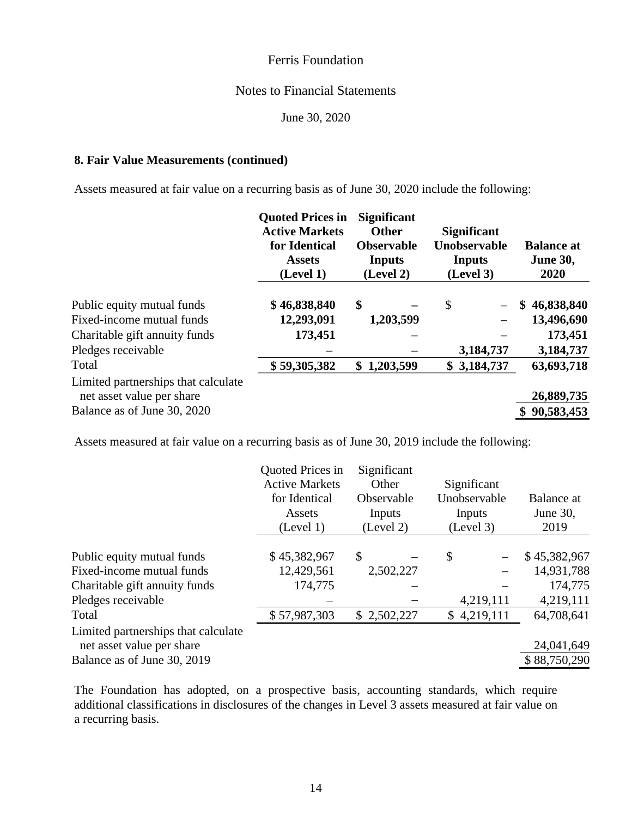### Notes to Financial Statements

June 30, 2020

### **8. Fair Value Measurements (continued)**

Assets measured at fair value on a recurring basis as of June 30, 2020 include the following:

|                                                                  | <b>Ouoted Prices in</b><br><b>Active Markets</b><br>for Identical<br><b>Assets</b><br>(Level 1) | <b>Significant</b><br><b>Other</b><br><b>Observable</b><br><b>Inputs</b><br>(Level 2) | <b>Significant</b><br><b>Unobservable</b><br><b>Inputs</b><br>(Level 3) | <b>Balance at</b><br><b>June 30,</b><br>2020 |
|------------------------------------------------------------------|-------------------------------------------------------------------------------------------------|---------------------------------------------------------------------------------------|-------------------------------------------------------------------------|----------------------------------------------|
| Public equity mutual funds                                       | \$46,838,840                                                                                    | \$                                                                                    | \$                                                                      | 46,838,840<br>S.                             |
| Fixed-income mutual funds                                        | 12,293,091                                                                                      | 1,203,599                                                                             |                                                                         | 13,496,690                                   |
| Charitable gift annuity funds                                    | 173,451                                                                                         |                                                                                       |                                                                         | 173,451                                      |
| Pledges receivable                                               |                                                                                                 |                                                                                       | 3,184,737                                                               | 3,184,737                                    |
| Total                                                            | \$59,305,382                                                                                    | 1,203,599<br>\$                                                                       | \$3,184,737                                                             | 63,693,718                                   |
| Limited partnerships that calculate<br>net asset value per share |                                                                                                 |                                                                                       |                                                                         | 26,889,735                                   |
| Balance as of June 30, 2020                                      |                                                                                                 |                                                                                       |                                                                         | 90,583,453                                   |

Assets measured at fair value on a recurring basis as of June 30, 2019 include the following:

|                                     | Quoted Prices in      | Significant   |              |              |
|-------------------------------------|-----------------------|---------------|--------------|--------------|
|                                     | <b>Active Markets</b> | Other         | Significant  |              |
|                                     | for Identical         | Observable    | Unobservable | Balance at   |
|                                     | Assets                | Inputs        | Inputs       | June $30$ ,  |
|                                     | (Level 1)             | (Level 2)     | (Level 3)    | 2019         |
| Public equity mutual funds          | \$45,382,967          | $\mathcal{S}$ | \$           | \$45,382,967 |
| Fixed-income mutual funds           | 12,429,561            | 2,502,227     |              | 14,931,788   |
| Charitable gift annuity funds       | 174,775               |               |              | 174,775      |
| Pledges receivable                  |                       |               | 4,219,111    | 4,219,111    |
| Total                               | \$57,987,303          | \$2,502,227   | \$4,219,111  | 64,708,641   |
| Limited partnerships that calculate |                       |               |              |              |
| net asset value per share           |                       |               |              | 24,041,649   |
| Balance as of June 30, 2019         |                       |               |              | \$88,750,290 |

The Foundation has adopted, on a prospective basis, accounting standards, which require additional classifications in disclosures of the changes in Level 3 assets measured at fair value on a recurring basis.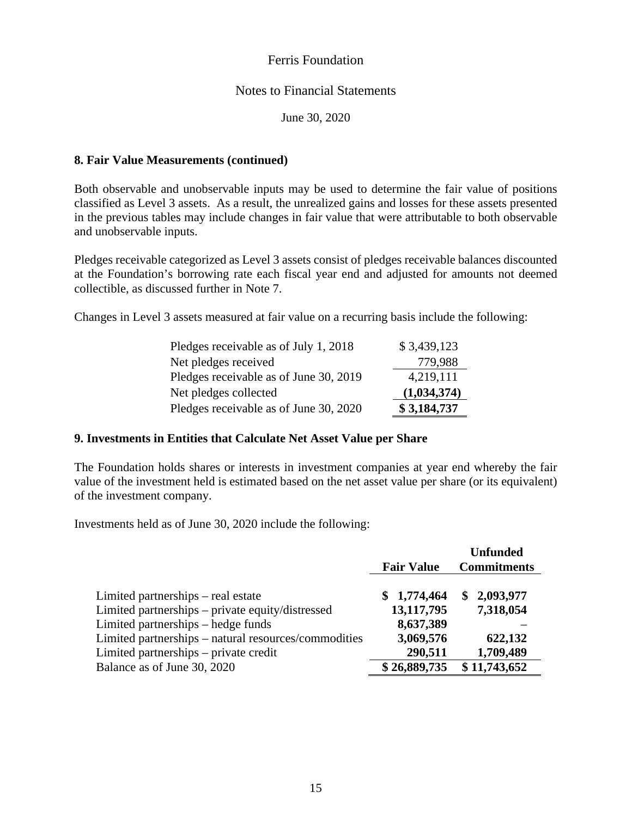# Notes to Financial Statements

June 30, 2020

### **8. Fair Value Measurements (continued)**

Both observable and unobservable inputs may be used to determine the fair value of positions classified as Level 3 assets. As a result, the unrealized gains and losses for these assets presented in the previous tables may include changes in fair value that were attributable to both observable and unobservable inputs.

Pledges receivable categorized as Level 3 assets consist of pledges receivable balances discounted at the Foundation's borrowing rate each fiscal year end and adjusted for amounts not deemed collectible, as discussed further in Note 7.

Changes in Level 3 assets measured at fair value on a recurring basis include the following:

| Pledges receivable as of July 1, 2018  | \$3,439,123 |
|----------------------------------------|-------------|
| Net pledges received                   | 779,988     |
| Pledges receivable as of June 30, 2019 | 4,219,111   |
| Net pledges collected                  | (1,034,374) |
| Pledges receivable as of June 30, 2020 | \$3,184,737 |

### **9. Investments in Entities that Calculate Net Asset Value per Share**

The Foundation holds shares or interests in investment companies at year end whereby the fair value of the investment held is estimated based on the net asset value per share (or its equivalent) of the investment company.

Investments held as of June 30, 2020 include the following:

|                                                      | <b>Fair Value</b> | <b>Unfunded</b><br><b>Commitments</b> |
|------------------------------------------------------|-------------------|---------------------------------------|
| Limited partnerships – real estate                   | \$1,774,464       | \$2,093,977                           |
| Limited partnerships – private equity/distressed     | 13, 117, 795      | 7,318,054                             |
| Limited partnerships – hedge funds                   | 8,637,389         |                                       |
| Limited partnerships – natural resources/commodities | 3,069,576         | 622,132                               |
| Limited partnerships – private credit                | 290,511           | 1,709,489                             |
| Balance as of June 30, 2020                          | \$26,889,735      | \$11,743,652                          |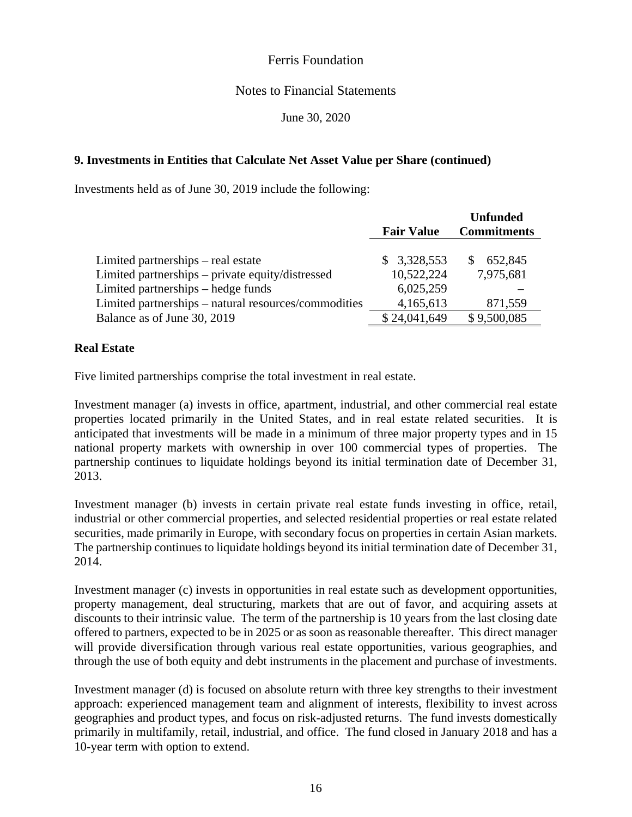# Notes to Financial Statements

June 30, 2020

# **9. Investments in Entities that Calculate Net Asset Value per Share (continued)**

Investments held as of June 30, 2019 include the following:

|                                                      |                   | <b>Unfunded</b>    |
|------------------------------------------------------|-------------------|--------------------|
|                                                      | <b>Fair Value</b> | <b>Commitments</b> |
|                                                      |                   |                    |
| Limited partnerships – real estate                   | \$3,328,553       | 652,845            |
| Limited partnerships – private equity/distressed     | 10,522,224        | 7,975,681          |
| Limited partnerships – hedge funds                   | 6,025,259         |                    |
| Limited partnerships – natural resources/commodities | 4,165,613         | 871,559            |
| Balance as of June 30, 2019                          | \$24,041,649      | \$9,500,085        |

### **Real Estate**

Five limited partnerships comprise the total investment in real estate.

Investment manager (a) invests in office, apartment, industrial, and other commercial real estate properties located primarily in the United States, and in real estate related securities. It is anticipated that investments will be made in a minimum of three major property types and in 15 national property markets with ownership in over 100 commercial types of properties. The partnership continues to liquidate holdings beyond its initial termination date of December 31, 2013.

Investment manager (b) invests in certain private real estate funds investing in office, retail, industrial or other commercial properties, and selected residential properties or real estate related securities, made primarily in Europe, with secondary focus on properties in certain Asian markets. The partnership continues to liquidate holdings beyond its initial termination date of December 31, 2014.

Investment manager (c) invests in opportunities in real estate such as development opportunities, property management, deal structuring, markets that are out of favor, and acquiring assets at discounts to their intrinsic value. The term of the partnership is 10 years from the last closing date offered to partners, expected to be in 2025 or as soon as reasonable thereafter. This direct manager will provide diversification through various real estate opportunities, various geographies, and through the use of both equity and debt instruments in the placement and purchase of investments.

Investment manager (d) is focused on absolute return with three key strengths to their investment approach: experienced management team and alignment of interests, flexibility to invest across geographies and product types, and focus on risk-adjusted returns. The fund invests domestically primarily in multifamily, retail, industrial, and office. The fund closed in January 2018 and has a 10-year term with option to extend.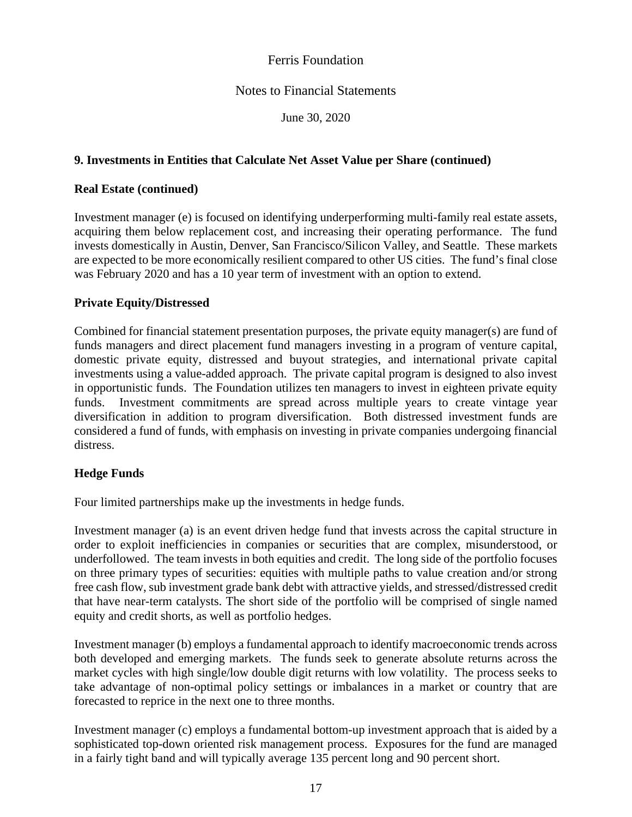# Notes to Financial Statements

June 30, 2020

# **9. Investments in Entities that Calculate Net Asset Value per Share (continued)**

### **Real Estate (continued)**

Investment manager (e) is focused on identifying underperforming multi-family real estate assets, acquiring them below replacement cost, and increasing their operating performance. The fund invests domestically in Austin, Denver, San Francisco/Silicon Valley, and Seattle. These markets are expected to be more economically resilient compared to other US cities. The fund's final close was February 2020 and has a 10 year term of investment with an option to extend.

### **Private Equity/Distressed**

Combined for financial statement presentation purposes, the private equity manager(s) are fund of funds managers and direct placement fund managers investing in a program of venture capital, domestic private equity, distressed and buyout strategies, and international private capital investments using a value-added approach. The private capital program is designed to also invest in opportunistic funds. The Foundation utilizes ten managers to invest in eighteen private equity funds. Investment commitments are spread across multiple years to create vintage year diversification in addition to program diversification. Both distressed investment funds are considered a fund of funds, with emphasis on investing in private companies undergoing financial distress.

### **Hedge Funds**

Four limited partnerships make up the investments in hedge funds.

Investment manager (a) is an event driven hedge fund that invests across the capital structure in order to exploit inefficiencies in companies or securities that are complex, misunderstood, or underfollowed. The team invests in both equities and credit. The long side of the portfolio focuses on three primary types of securities: equities with multiple paths to value creation and/or strong free cash flow, sub investment grade bank debt with attractive yields, and stressed/distressed credit that have near-term catalysts. The short side of the portfolio will be comprised of single named equity and credit shorts, as well as portfolio hedges.

Investment manager (b) employs a fundamental approach to identify macroeconomic trends across both developed and emerging markets. The funds seek to generate absolute returns across the market cycles with high single/low double digit returns with low volatility. The process seeks to take advantage of non-optimal policy settings or imbalances in a market or country that are forecasted to reprice in the next one to three months.

Investment manager (c) employs a fundamental bottom-up investment approach that is aided by a sophisticated top-down oriented risk management process. Exposures for the fund are managed in a fairly tight band and will typically average 135 percent long and 90 percent short.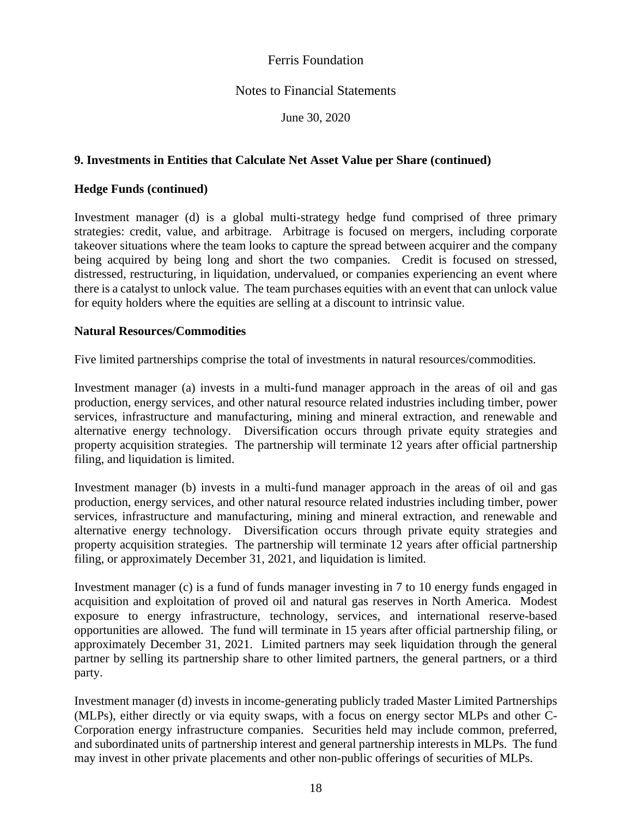# Notes to Financial Statements

June 30, 2020

# **9. Investments in Entities that Calculate Net Asset Value per Share (continued)**

### **Hedge Funds (continued)**

Investment manager (d) is a global multi-strategy hedge fund comprised of three primary strategies: credit, value, and arbitrage. Arbitrage is focused on mergers, including corporate takeover situations where the team looks to capture the spread between acquirer and the company being acquired by being long and short the two companies. Credit is focused on stressed, distressed, restructuring, in liquidation, undervalued, or companies experiencing an event where there is a catalyst to unlock value. The team purchases equities with an event that can unlock value for equity holders where the equities are selling at a discount to intrinsic value.

### **Natural Resources/Commodities**

Five limited partnerships comprise the total of investments in natural resources/commodities.

Investment manager (a) invests in a multi-fund manager approach in the areas of oil and gas production, energy services, and other natural resource related industries including timber, power services, infrastructure and manufacturing, mining and mineral extraction, and renewable and alternative energy technology. Diversification occurs through private equity strategies and property acquisition strategies. The partnership will terminate 12 years after official partnership filing, and liquidation is limited.

Investment manager (b) invests in a multi-fund manager approach in the areas of oil and gas production, energy services, and other natural resource related industries including timber, power services, infrastructure and manufacturing, mining and mineral extraction, and renewable and alternative energy technology. Diversification occurs through private equity strategies and property acquisition strategies. The partnership will terminate 12 years after official partnership filing, or approximately December 31, 2021, and liquidation is limited.

Investment manager (c) is a fund of funds manager investing in 7 to 10 energy funds engaged in acquisition and exploitation of proved oil and natural gas reserves in North America. Modest exposure to energy infrastructure, technology, services, and international reserve-based opportunities are allowed. The fund will terminate in 15 years after official partnership filing, or approximately December 31, 2021. Limited partners may seek liquidation through the general partner by selling its partnership share to other limited partners, the general partners, or a third party.

Investment manager (d) invests in income-generating publicly traded Master Limited Partnerships (MLPs), either directly or via equity swaps, with a focus on energy sector MLPs and other C-Corporation energy infrastructure companies. Securities held may include common, preferred, and subordinated units of partnership interest and general partnership interests in MLPs. The fund may invest in other private placements and other non-public offerings of securities of MLPs.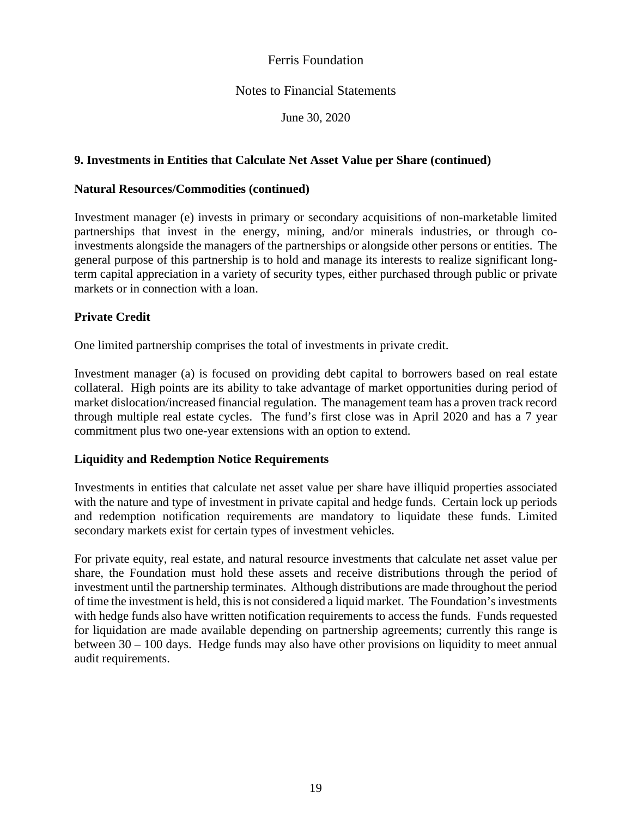# Notes to Financial Statements

June 30, 2020

# **9. Investments in Entities that Calculate Net Asset Value per Share (continued)**

### **Natural Resources/Commodities (continued)**

Investment manager (e) invests in primary or secondary acquisitions of non-marketable limited partnerships that invest in the energy, mining, and/or minerals industries, or through coinvestments alongside the managers of the partnerships or alongside other persons or entities. The general purpose of this partnership is to hold and manage its interests to realize significant longterm capital appreciation in a variety of security types, either purchased through public or private markets or in connection with a loan.

# **Private Credit**

One limited partnership comprises the total of investments in private credit.

Investment manager (a) is focused on providing debt capital to borrowers based on real estate collateral. High points are its ability to take advantage of market opportunities during period of market dislocation/increased financial regulation. The management team has a proven track record through multiple real estate cycles. The fund's first close was in April 2020 and has a 7 year commitment plus two one-year extensions with an option to extend.

### **Liquidity and Redemption Notice Requirements**

Investments in entities that calculate net asset value per share have illiquid properties associated with the nature and type of investment in private capital and hedge funds. Certain lock up periods and redemption notification requirements are mandatory to liquidate these funds. Limited secondary markets exist for certain types of investment vehicles.

For private equity, real estate, and natural resource investments that calculate net asset value per share, the Foundation must hold these assets and receive distributions through the period of investment until the partnership terminates. Although distributions are made throughout the period of time the investment is held, this is not considered a liquid market. The Foundation's investments with hedge funds also have written notification requirements to access the funds. Funds requested for liquidation are made available depending on partnership agreements; currently this range is between 30 – 100 days. Hedge funds may also have other provisions on liquidity to meet annual audit requirements.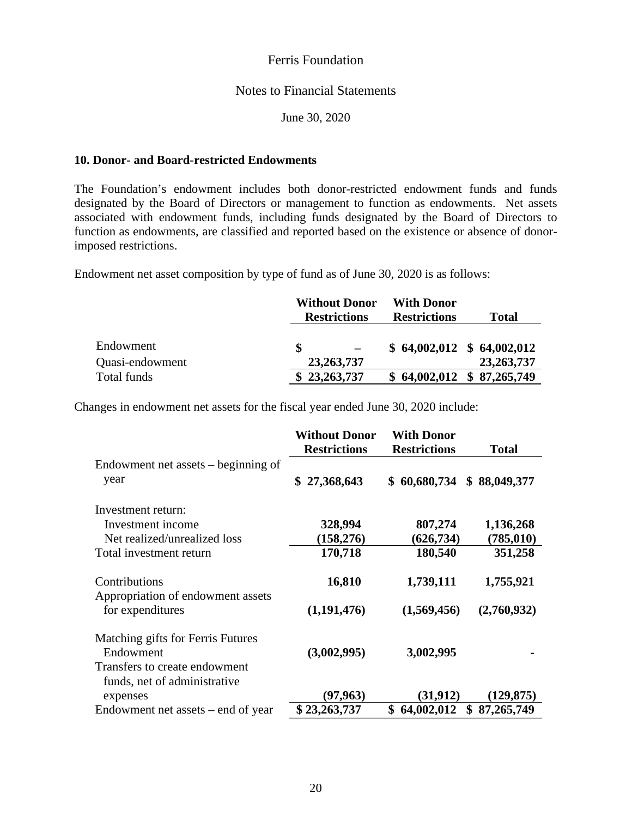### Notes to Financial Statements

June 30, 2020

### **10. Donor- and Board-restricted Endowments**

The Foundation's endowment includes both donor-restricted endowment funds and funds designated by the Board of Directors or management to function as endowments. Net assets associated with endowment funds, including funds designated by the Board of Directors to function as endowments, are classified and reported based on the existence or absence of donorimposed restrictions.

Endowment net asset composition by type of fund as of June 30, 2020 is as follows:

|                 | <b>Without Donor</b> | <b>With Donor</b>        |                            |
|-----------------|----------------------|--------------------------|----------------------------|
|                 | <b>Restrictions</b>  | <b>Restrictions</b>      | <b>Total</b>               |
|                 |                      |                          |                            |
| Endowment       | \$                   |                          | $$64,002,012 \$64,002,012$ |
| Quasi-endowment | 23, 263, 737         |                          | 23, 263, 737               |
| Total funds     | \$23,263,737         | \$64,002,012\$87,265,749 |                            |

Changes in endowment net assets for the fiscal year ended June 30, 2020 include:

|                                                               | <b>Without Donor</b> | <b>With Donor</b>   |                  |
|---------------------------------------------------------------|----------------------|---------------------|------------------|
|                                                               | <b>Restrictions</b>  | <b>Restrictions</b> | <b>Total</b>     |
| Endowment net assets – beginning of                           |                      |                     |                  |
| year                                                          | \$27,368,643         | \$60,680,734        | \$88,049,377     |
| Investment return:                                            |                      |                     |                  |
| Investment income                                             | 328,994              | 807,274             | 1,136,268        |
| Net realized/unrealized loss                                  | (158, 276)           | (626, 734)          | (785, 010)       |
| Total investment return                                       | 170,718              | 180,540             | 351,258          |
| Contributions                                                 | 16,810               | 1,739,111           | 1,755,921        |
| Appropriation of endowment assets<br>for expenditures         | (1,191,476)          | (1,569,456)         | (2,760,932)      |
| Matching gifts for Ferris Futures<br>Endowment                | (3,002,995)          | 3,002,995           |                  |
| Transfers to create endowment<br>funds, net of administrative |                      |                     |                  |
| expenses                                                      | (97, 963)            | (31, 912)           | (129, 875)       |
| Endowment net assets $-$ end of year                          | \$23,263,737         | 64,002,012<br>\$    | \$<br>87,265,749 |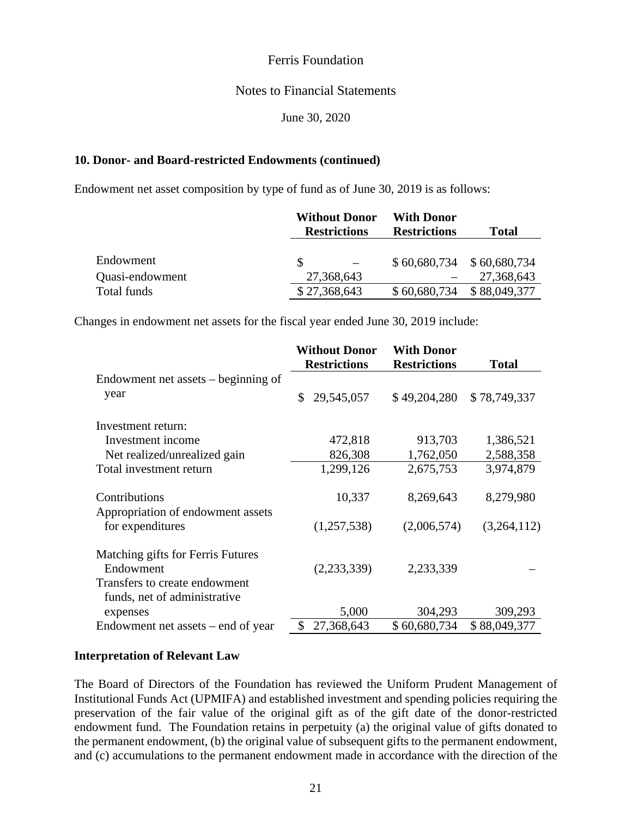#### Notes to Financial Statements

June 30, 2020

#### **10. Donor- and Board-restricted Endowments (continued)**

Endowment net asset composition by type of fund as of June 30, 2019 is as follows:

|                 | <b>Without Donor</b> | With Donor                  |              |
|-----------------|----------------------|-----------------------------|--------------|
|                 | <b>Restrictions</b>  | <b>Restrictions</b>         | <b>Total</b> |
|                 |                      |                             |              |
| Endowment       | S                    | $$60,680,734$ $$60,680,734$ |              |
| Quasi-endowment | 27,368,643           |                             | 27,368,643   |
| Total funds     | \$27,368,643         | \$60,680,734                | \$88,049,377 |

Changes in endowment net assets for the fiscal year ended June 30, 2019 include:

|                                                               | <b>Without Donor</b> |               | <b>With Donor</b>   |              |
|---------------------------------------------------------------|----------------------|---------------|---------------------|--------------|
|                                                               | <b>Restrictions</b>  |               | <b>Restrictions</b> | <b>Total</b> |
| Endowment net assets – beginning of                           |                      |               |                     |              |
| year                                                          | 29,545,057<br>\$     |               | \$49,204,280        | \$78,749,337 |
| Investment return:                                            |                      |               |                     |              |
| Investment income                                             |                      | 472,818       | 913,703             | 1,386,521    |
| Net realized/unrealized gain                                  |                      | 826,308       | 1,762,050           | 2,588,358    |
| Total investment return                                       |                      | 1,299,126     | 2,675,753           | 3,974,879    |
| Contributions<br>Appropriation of endowment assets            |                      | 10,337        | 8,269,643           | 8,279,980    |
| for expenditures                                              |                      | (1,257,538)   | (2,006,574)         | (3,264,112)  |
| Matching gifts for Ferris Futures<br>Endowment                |                      | (2, 233, 339) | 2,233,339           |              |
| Transfers to create endowment<br>funds, net of administrative |                      |               |                     |              |
| expenses                                                      |                      | 5,000         | 304,293             | 309,293      |
| Endowment net assets – end of year                            | 27,368,643<br>\$     |               | \$60,680,734        | \$88,049,377 |

#### **Interpretation of Relevant Law**

The Board of Directors of the Foundation has reviewed the Uniform Prudent Management of Institutional Funds Act (UPMIFA) and established investment and spending policies requiring the preservation of the fair value of the original gift as of the gift date of the donor-restricted endowment fund. The Foundation retains in perpetuity (a) the original value of gifts donated to the permanent endowment, (b) the original value of subsequent gifts to the permanent endowment, and (c) accumulations to the permanent endowment made in accordance with the direction of the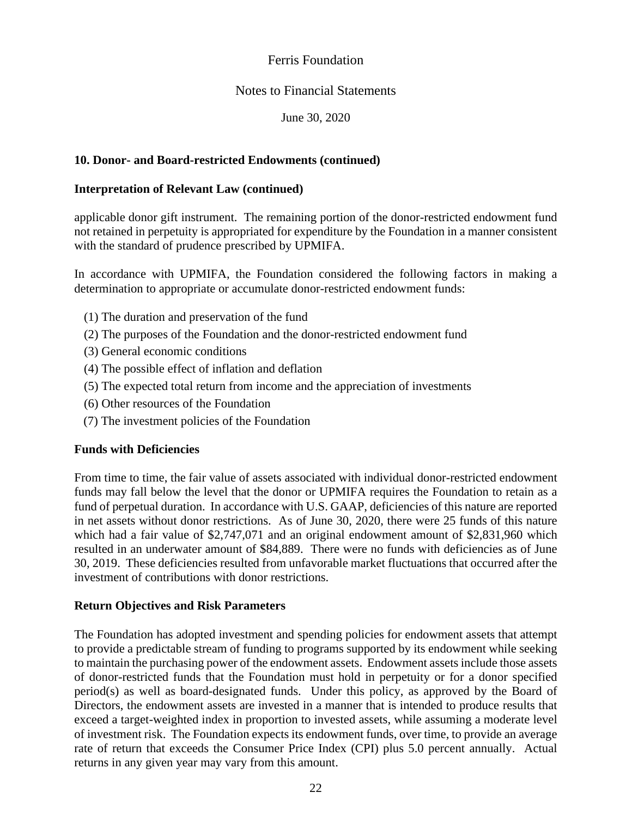# Notes to Financial Statements

June 30, 2020

# **10. Donor- and Board-restricted Endowments (continued)**

### **Interpretation of Relevant Law (continued)**

applicable donor gift instrument. The remaining portion of the donor-restricted endowment fund not retained in perpetuity is appropriated for expenditure by the Foundation in a manner consistent with the standard of prudence prescribed by UPMIFA.

In accordance with UPMIFA, the Foundation considered the following factors in making a determination to appropriate or accumulate donor-restricted endowment funds:

- (1) The duration and preservation of the fund
- (2) The purposes of the Foundation and the donor-restricted endowment fund
- (3) General economic conditions
- (4) The possible effect of inflation and deflation
- (5) The expected total return from income and the appreciation of investments
- (6) Other resources of the Foundation
- (7) The investment policies of the Foundation

### **Funds with Deficiencies**

From time to time, the fair value of assets associated with individual donor-restricted endowment funds may fall below the level that the donor or UPMIFA requires the Foundation to retain as a fund of perpetual duration. In accordance with U.S. GAAP, deficiencies of this nature are reported in net assets without donor restrictions. As of June 30, 2020, there were 25 funds of this nature which had a fair value of \$2,747,071 and an original endowment amount of \$2,831,960 which resulted in an underwater amount of \$84,889. There were no funds with deficiencies as of June 30, 2019. These deficiencies resulted from unfavorable market fluctuations that occurred after the investment of contributions with donor restrictions.

### **Return Objectives and Risk Parameters**

The Foundation has adopted investment and spending policies for endowment assets that attempt to provide a predictable stream of funding to programs supported by its endowment while seeking to maintain the purchasing power of the endowment assets. Endowment assets include those assets of donor-restricted funds that the Foundation must hold in perpetuity or for a donor specified period(s) as well as board-designated funds. Under this policy, as approved by the Board of Directors, the endowment assets are invested in a manner that is intended to produce results that exceed a target-weighted index in proportion to invested assets, while assuming a moderate level of investment risk. The Foundation expects its endowment funds, over time, to provide an average rate of return that exceeds the Consumer Price Index (CPI) plus 5.0 percent annually. Actual returns in any given year may vary from this amount.